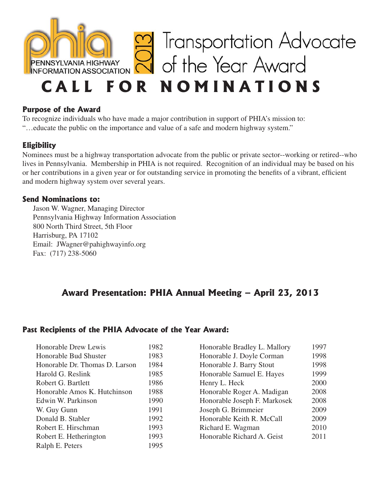

#### **Purpose of the Award**

To recognize individuals who have made a major contribution in support of PHIA's mission to: "…educate the public on the importance and value of a safe and modern highway system."

## **Eligibility**

Nominees must be a highway transportation advocate from the public or private sector--working or retired--who lives in Pennsylvania. Membership in PHIA is not required. Recognition of an individual may be based on his or her contributions in a given year or for outstanding service in promoting the benefits of a vibrant, efficient and modern highway system over several years.

### **Send Nominations to:**

Jason W. Wagner, Managing Director Pennsylvania Highway Information Association 800 North Third Street, 5th Floor Harrisburg, PA 17102 Email: JWagner@pahighwayinfo.org Fax: (717) 238-5060

# **Award Presentation: PHIA Annual Meeting – April 23, 2013**

## **Past Recipients of the PHIA Advocate of the Year Award:**

| Honorable Drew Lewis           | 1982 |
|--------------------------------|------|
| Honorable Bud Shuster          | 1983 |
| Honorable Dr. Thomas D. Larson | 1984 |
| Harold G. Reslink              | 1985 |
| Robert G. Bartlett             | 1986 |
| Honorable Amos K. Hutchinson   | 1988 |
| Edwin W. Parkinson             | 1990 |
| W. Guy Gunn                    | 1991 |
| Donald B. Stabler              | 1992 |
| Robert E. Hirschman            | 1993 |
| Robert E. Hetherington         | 1993 |
| Ralph E. Peters                | 1995 |

| Honorable Bradley L. Mallory | 1997 |
|------------------------------|------|
| Honorable J. Doyle Corman    | 1998 |
| Honorable J. Barry Stout     | 1998 |
| Honorable Samuel E. Hayes    | 1999 |
| Henry L. Heck                | 2000 |
| Honorable Roger A. Madigan   | 2008 |
| Honorable Joseph F. Markosek | 2008 |
| Joseph G. Brimmeier          | 2009 |
| Honorable Keith R. McCall    | 2009 |
| Richard E. Wagman            | 2010 |
| Honorable Richard A. Geist   | 2011 |
|                              |      |